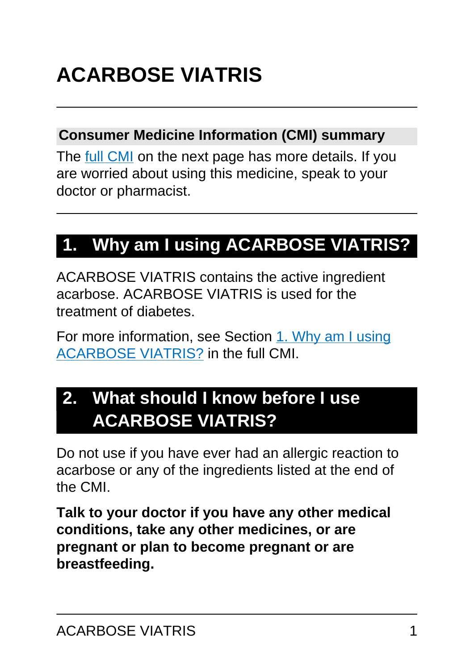# **ACARBOSE VIATRIS**

#### **Consumer Medicine Information (CMI) summary**

The [full CMI](#page-4-0) on the next page has more details. If you are worried about using this medicine, speak to your doctor or pharmacist.

## **1. Why am I using ACARBOSE VIATRIS?**

ACARBOSE VIATRIS contains the active ingredient acarbose. ACARBOSE VIATRIS is used for the treatment of diabetes.

For more information, see Section [1. Why am I using](#page-4-1) [ACARBOSE VIATRIS?](#page-4-1) in the full CMI.

## **2. What should I know before I use ACARBOSE VIATRIS?**

Do not use if you have ever had an allergic reaction to acarbose or any of the ingredients listed at the end of the CMI.

**Talk to your doctor if you have any other medical conditions, take any other medicines, or are pregnant or plan to become pregnant or are breastfeeding.**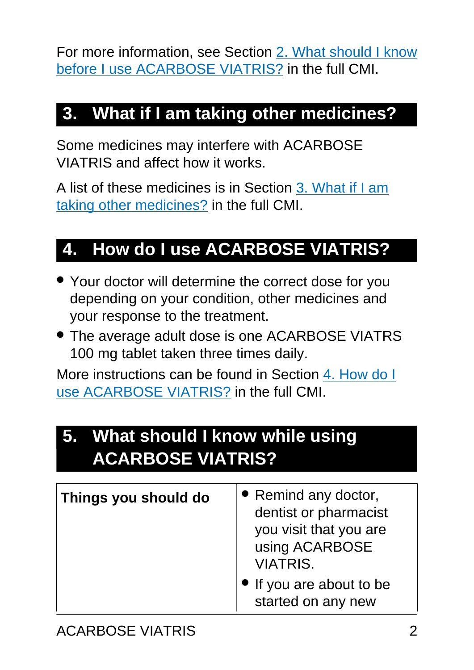For more information, see Section [2. What should I know](#page-5-0) [before I use ACARBOSE VIATRIS?](#page-5-0) in the full CMI.

## **3. What if I am taking other medicines?**

Some medicines may interfere with ACARBOSE VIATRIS and affect how it works.

A list of these medicines is in Section [3. What if I am](#page-6-0) [taking other medicines?](#page-6-0) in the full CMI.

## **4. How do I use ACARBOSE VIATRIS?**

- Your doctor will determine the correct dose for you depending on your condition, other medicines and your response to the treatment.
- The average adult dose is one ACARBOSE VIATRS 100 mg tablet taken three times daily.

More instructions can be found in Section [4. How do I](#page-7-0) [use ACARBOSE VIATRIS?](#page-7-0) in the full CMI.

## **5. What should I know while using ACARBOSE VIATRIS?**

| Things you should do | • Remind any doctor,<br>dentist or pharmacist<br>you visit that you are<br>using ACARBOSE<br><b>VIATRIS.</b> |
|----------------------|--------------------------------------------------------------------------------------------------------------|
|                      | If you are about to be<br>started on any new                                                                 |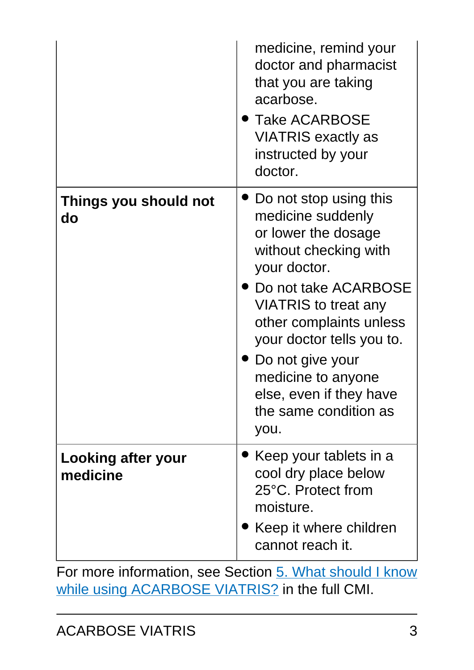|                                | medicine, remind your<br>doctor and pharmacist<br>that you are taking<br>acarbose.<br>$\blacktriangleright$ Take ACARBOSE<br><b>VIATRIS exactly as</b><br>instructed by your<br>doctor.                                                                                                                                   |
|--------------------------------|---------------------------------------------------------------------------------------------------------------------------------------------------------------------------------------------------------------------------------------------------------------------------------------------------------------------------|
| Things you should not<br>do    | Do not stop using this<br>medicine suddenly<br>or lower the dosage<br>without checking with<br>your doctor.<br>Do not take ACARBOSE<br>VIATRIS to treat any<br>other complaints unless<br>your doctor tells you to.<br>Do not give your<br>medicine to anyone<br>else, even if they have<br>the same condition as<br>you. |
| Looking after your<br>medicine | Keep your tablets in a<br>cool dry place below<br>25°C. Protect from<br>moisture.<br>Keep it where children<br>cannot reach it.                                                                                                                                                                                           |

For more information, see Section [5. What should I know](#page-10-0) [while using ACARBOSE VIATRIS?](#page-10-0) in the full CMI.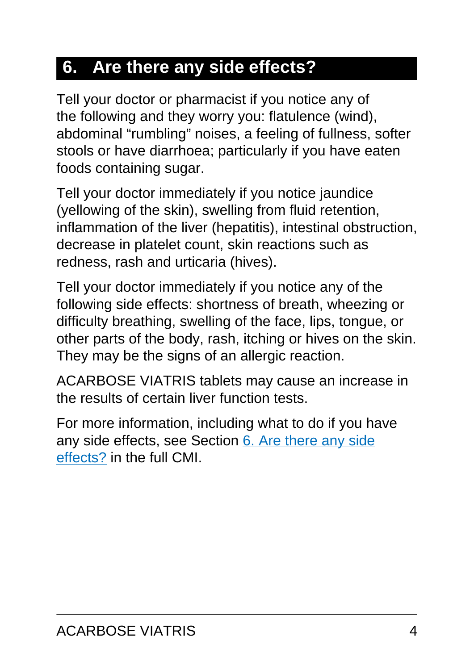## **6. Are there any side effects?**

Tell your doctor or pharmacist if you notice any of the following and they worry you: flatulence (wind), abdominal "rumbling" noises, a feeling of fullness, softer stools or have diarrhoea; particularly if you have eaten foods containing sugar.

Tell your doctor immediately if you notice jaundice (yellowing of the skin), swelling from fluid retention, inflammation of the liver (hepatitis), intestinal obstruction, decrease in platelet count, skin reactions such as redness, rash and urticaria (hives).

Tell your doctor immediately if you notice any of the following side effects: shortness of breath, wheezing or difficulty breathing, swelling of the face, lips, tongue, or other parts of the body, rash, itching or hives on the skin. They may be the signs of an allergic reaction.

ACARBOSE VIATRIS tablets may cause an increase in the results of certain liver function tests.

For more information, including what to do if you have any side effects, see Section [6. Are there any side](#page-12-0) [effects?](#page-12-0) in the full CMI.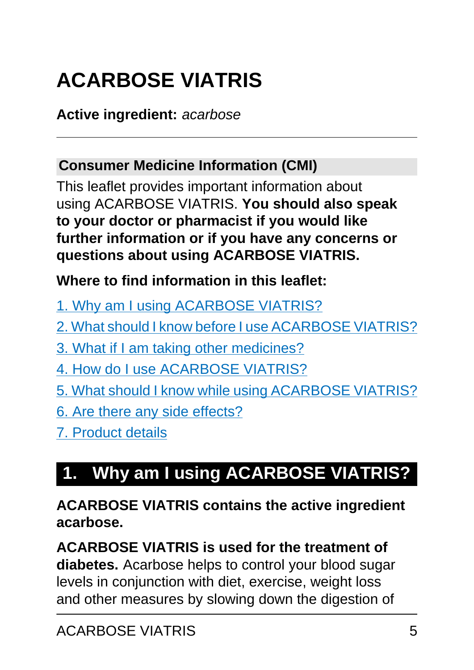# <span id="page-4-0"></span>**ACARBOSE VIATRIS**

#### **Active ingredient:** acarbose

### **Consumer Medicine Information (CMI)**

This leaflet provides important information about using ACARBOSE VIATRIS. **You should also speak to your doctor or pharmacist if you would like further information or if you have any concerns or questions about using ACARBOSE VIATRIS.**

#### **Where to find information in this leaflet:**

- [1. Why am I using ACARBOSE VIATRIS?](#page-4-1)
- [2. What should I know before I use ACARBOSE VIATRIS?](#page-5-0)
- [3. What if I am taking other medicines?](#page-6-0)
- [4. How do I use ACARBOSE VIATRIS?](#page-7-0)
- [5. What should I know while using ACARBOSE VIATRIS?](#page-10-0)
- [6. Are there any side effects?](#page-12-0)
- [7. Product details](#page-16-0)

## <span id="page-4-1"></span>**1. Why am I using ACARBOSE VIATRIS?**

**ACARBOSE VIATRIS contains the active ingredient acarbose.**

**ACARBOSE VIATRIS is used for the treatment of diabetes.** Acarbose helps to control your blood sugar levels in conjunction with diet, exercise, weight loss and other measures by slowing down the digestion of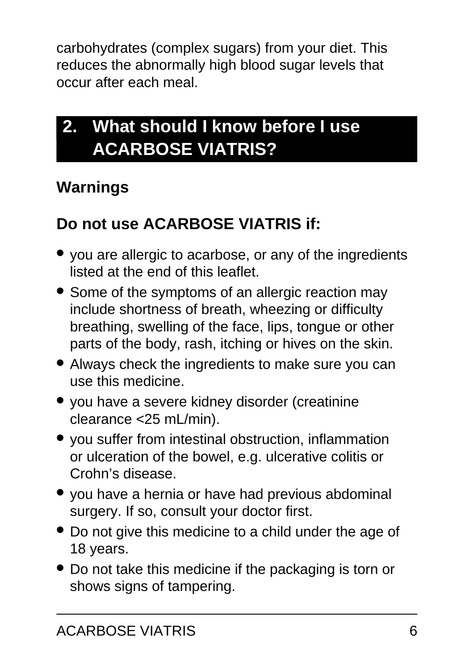carbohydrates (complex sugars) from your diet. This reduces the abnormally high blood sugar levels that occur after each meal.

## <span id="page-5-0"></span>**2. What should I know before I use ACARBOSE VIATRIS?**

### **Warnings**

## **Do not use ACARBOSE VIATRIS if:**

- you are allergic to acarbose, or any of the ingredients listed at the end of this leaflet.
- Some of the symptoms of an allergic reaction may include shortness of breath, wheezing or difficulty breathing, swelling of the face, lips, tongue or other parts of the body, rash, itching or hives on the skin.
- Always check the ingredients to make sure you can use this medicine.
- you have a severe kidney disorder (creatinine clearance <25 mL/min).
- you suffer from intestinal obstruction, inflammation or ulceration of the bowel, e.g. ulcerative colitis or Crohn's disease.
- you have a hernia or have had previous abdominal surgery. If so, consult your doctor first.
- Do not give this medicine to a child under the age of 18 years.
- Do not take this medicine if the packaging is torn or shows signs of tampering.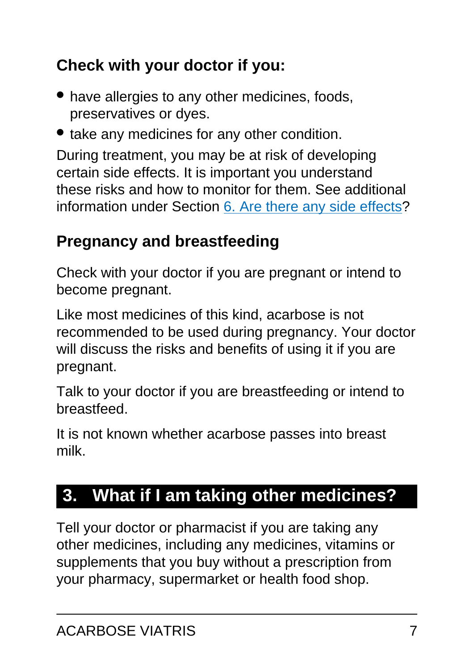## **Check with your doctor if you:**

- have allergies to any other medicines, foods, preservatives or dyes.
- take any medicines for any other condition.

During treatment, you may be at risk of developing certain side effects. It is important you understand these risks and how to monitor for them. See additional information under Section [6. Are there any side effects](#page-12-0)?

### **Pregnancy and breastfeeding**

Check with your doctor if you are pregnant or intend to become pregnant.

Like most medicines of this kind, acarbose is not recommended to be used during pregnancy. Your doctor will discuss the risks and benefits of using it if you are pregnant.

Talk to your doctor if you are breastfeeding or intend to breastfeed.

It is not known whether acarbose passes into breast milk.

## <span id="page-6-0"></span>**3. What if I am taking other medicines?**

Tell your doctor or pharmacist if you are taking any other medicines, including any medicines, vitamins or supplements that you buy without a prescription from your pharmacy, supermarket or health food shop.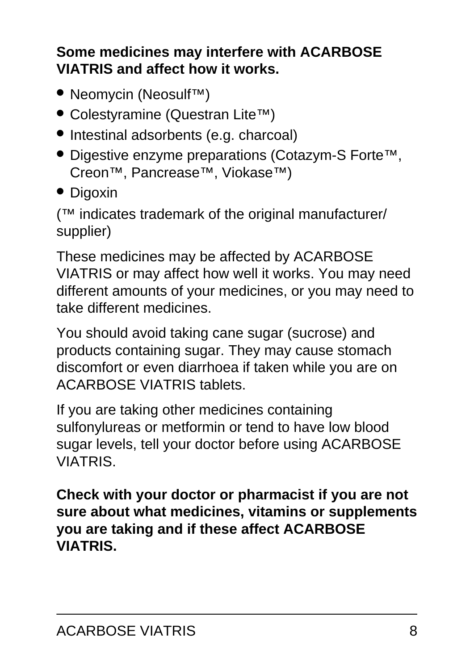#### **Some medicines may interfere with ACARBOSE VIATRIS and affect how it works.**

- Neomycin (Neosulf™)
- Colestyramine (Questran Lite™)
- Intestinal adsorbents (e.g. charcoal)
- Digestive enzyme preparations (Cotazym-S Forte™, Creon™, Pancrease™, Viokase™)
- Digoxin

(™ indicates trademark of the original manufacturer/ supplier)

These medicines may be affected by ACARBOSE VIATRIS or may affect how well it works. You may need different amounts of your medicines, or you may need to take different medicines.

You should avoid taking cane sugar (sucrose) and products containing sugar. They may cause stomach discomfort or even diarrhoea if taken while you are on ACARBOSE VIATRIS tablets.

If you are taking other medicines containing sulfonylureas or metformin or tend to have low blood sugar levels, tell your doctor before using ACARBOSE VIATRIS.

<span id="page-7-0"></span>**Check with your doctor or pharmacist if you are not sure about what medicines, vitamins or supplements you are taking and if these affect ACARBOSE VIATRIS.**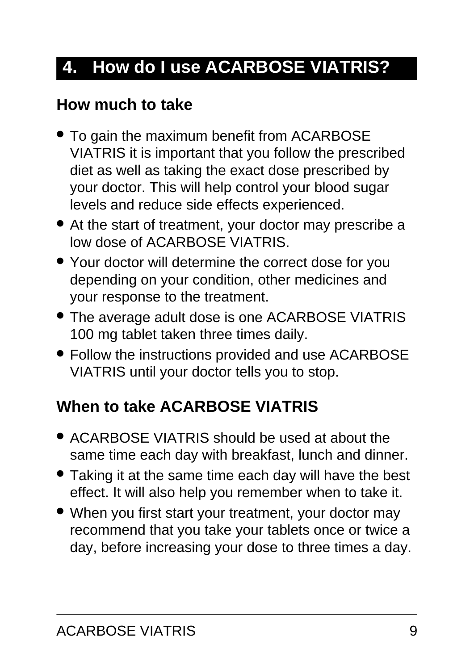## **4. How do I use ACARBOSE VIATRIS?**

### **How much to take**

- To gain the maximum benefit from ACARBOSE VIATRIS it is important that you follow the prescribed diet as well as taking the exact dose prescribed by your doctor. This will help control your blood sugar levels and reduce side effects experienced.
- At the start of treatment, your doctor may prescribe a low dose of ACARBOSE VIATRIS.
- Your doctor will determine the correct dose for you depending on your condition, other medicines and your response to the treatment.
- The average adult dose is one ACARBOSE VIATRIS 100 mg tablet taken three times daily.
- Follow the instructions provided and use ACARBOSE VIATRIS until your doctor tells you to stop.

## **When to take ACARBOSE VIATRIS**

- ACARBOSE VIATRIS should be used at about the same time each day with breakfast, lunch and dinner.
- Taking it at the same time each day will have the best effect. It will also help you remember when to take it.
- When you first start your treatment, your doctor may recommend that you take your tablets once or twice a day, before increasing your dose to three times a day.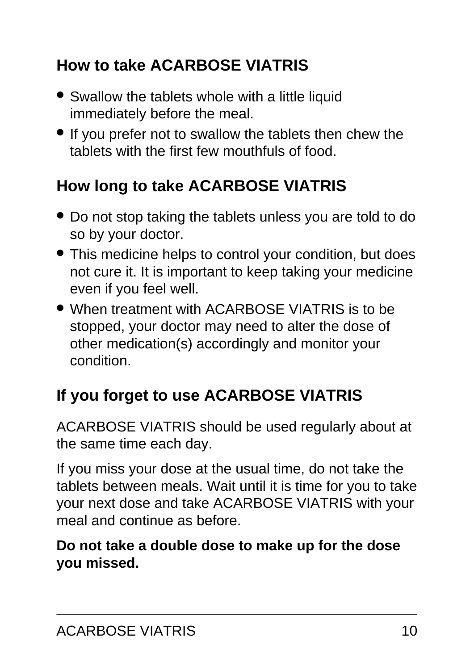## **How to take ACARBOSE VIATRIS**

- Swallow the tablets whole with a little liquid immediately before the meal.
- If you prefer not to swallow the tablets then chew the tablets with the first few mouthfuls of food.

## **How long to take ACARBOSE VIATRIS**

- Do not stop taking the tablets unless you are told to do so by your doctor.
- This medicine helps to control your condition, but does not cure it. It is important to keep taking your medicine even if you feel well.
- When treatment with ACARBOSE VIATRIS is to be stopped, your doctor may need to alter the dose of other medication(s) accordingly and monitor your condition.

## **If you forget to use ACARBOSE VIATRIS**

ACARBOSE VIATRIS should be used regularly about at the same time each day.

If you miss your dose at the usual time, do not take the tablets between meals. Wait until it is time for you to take your next dose and take ACARBOSE VIATRIS with your meal and continue as before.

#### **Do not take a double dose to make up for the dose you missed.**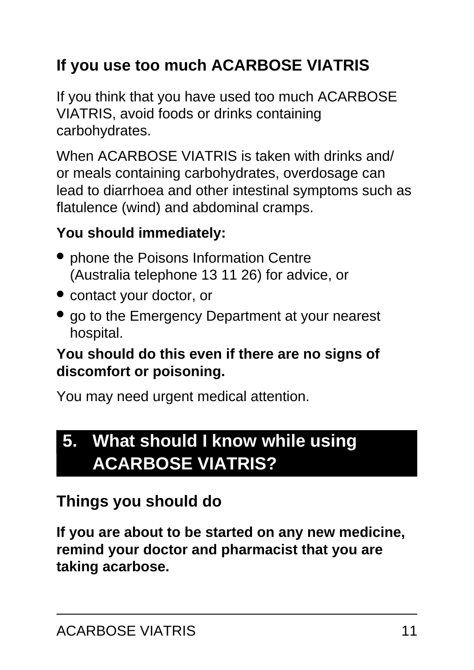## **If you use too much ACARBOSE VIATRIS**

If you think that you have used too much ACARBOSE VIATRIS, avoid foods or drinks containing carbohydrates.

When ACARBOSE VIATRIS is taken with drinks and/ or meals containing carbohydrates, overdosage can lead to diarrhoea and other intestinal symptoms such as flatulence (wind) and abdominal cramps.

#### **You should immediately:**

- phone the Poisons Information Centre (Australia telephone 13 11 26) for advice, or
- contact your doctor, or
- go to the Emergency Department at your nearest hospital.

#### **You should do this even if there are no signs of discomfort or poisoning.**

You may need urgent medical attention.

## <span id="page-10-0"></span>**5. What should I know while using ACARBOSE VIATRIS?**

### **Things you should do**

**If you are about to be started on any new medicine, remind your doctor and pharmacist that you are taking acarbose.**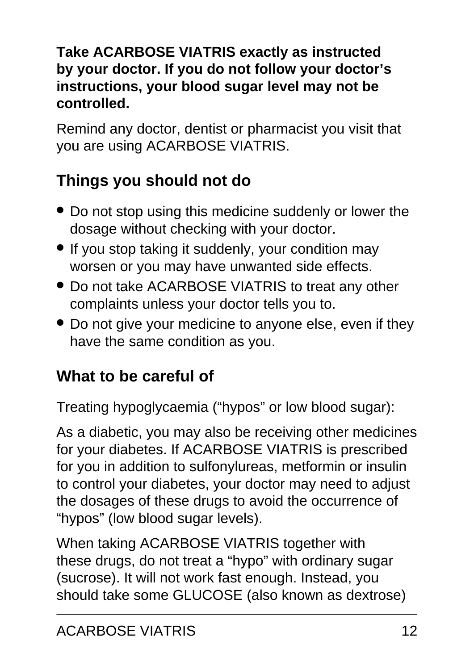#### **Take ACARBOSE VIATRIS exactly as instructed by your doctor. If you do not follow your doctor's instructions, your blood sugar level may not be controlled.**

Remind any doctor, dentist or pharmacist you visit that you are using ACARBOSE VIATRIS.

## **Things you should not do**

- Do not stop using this medicine suddenly or lower the dosage without checking with your doctor.
- If you stop taking it suddenly, your condition may worsen or you may have unwanted side effects.
- Do not take ACARBOSE VIATRIS to treat any other complaints unless your doctor tells you to.
- Do not give your medicine to anyone else, even if they have the same condition as you.

### **What to be careful of**

Treating hypoglycaemia ("hypos" or low blood sugar):

As a diabetic, you may also be receiving other medicines for your diabetes. If ACARBOSE VIATRIS is prescribed for you in addition to sulfonylureas, metformin or insulin to control your diabetes, your doctor may need to adjust the dosages of these drugs to avoid the occurrence of "hypos" (low blood sugar levels).

When taking ACARBOSE VIATRIS together with these drugs, do not treat a "hypo" with ordinary sugar (sucrose). It will not work fast enough. Instead, you should take some GLUCOSE (also known as dextrose)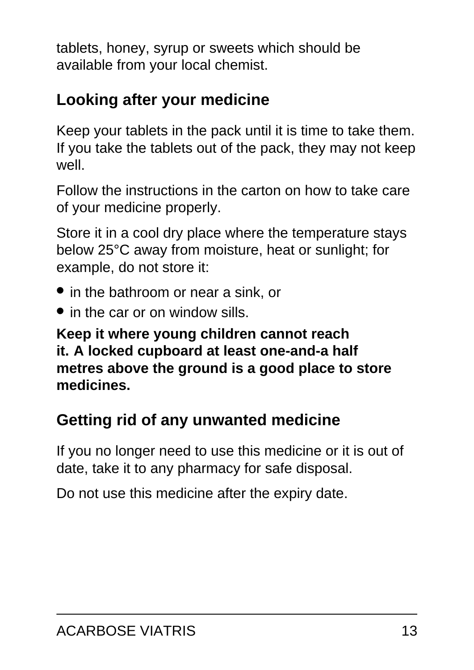tablets, honey, syrup or sweets which should be available from your local chemist.

### **Looking after your medicine**

Keep your tablets in the pack until it is time to take them. If you take the tablets out of the pack, they may not keep well.

Follow the instructions in the carton on how to take care of your medicine properly.

Store it in a cool dry place where the temperature stays below 25°C away from moisture, heat or sunlight; for example, do not store it:

- in the bathroom or near a sink, or
- in the car or on window sills.

**Keep it where young children cannot reach it. A locked cupboard at least one-and-a half metres above the ground is a good place to store medicines.**

### **Getting rid of any unwanted medicine**

If you no longer need to use this medicine or it is out of date, take it to any pharmacy for safe disposal.

<span id="page-12-0"></span>Do not use this medicine after the expiry date.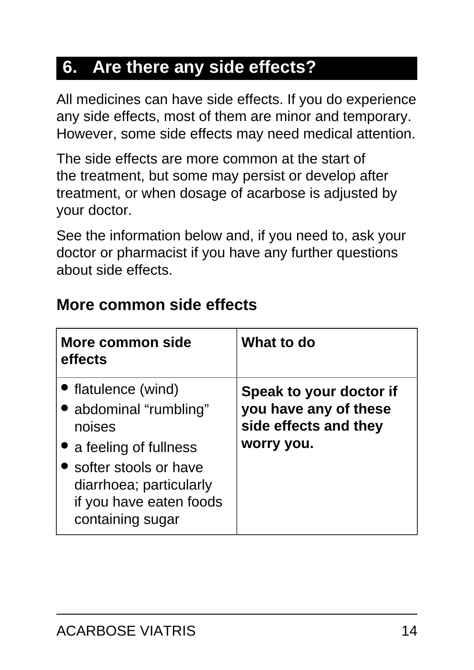## **6. Are there any side effects?**

All medicines can have side effects. If you do experience any side effects, most of them are minor and temporary. However, some side effects may need medical attention.

The side effects are more common at the start of the treatment, but some may persist or develop after treatment, or when dosage of acarbose is adjusted by your doctor.

See the information below and, if you need to, ask your doctor or pharmacist if you have any further questions about side effects.

| More common side<br>effects                                                                                                                                                             | What to do                                                                              |
|-----------------------------------------------------------------------------------------------------------------------------------------------------------------------------------------|-----------------------------------------------------------------------------------------|
| • flatulence (wind)<br>• abdominal "rumbling"<br>noises<br>• a feeling of fullness<br>• softer stools or have<br>diarrhoea; particularly<br>if you have eaten foods<br>containing sugar | Speak to your doctor if<br>you have any of these<br>side effects and they<br>worry you. |

#### **More common side effects**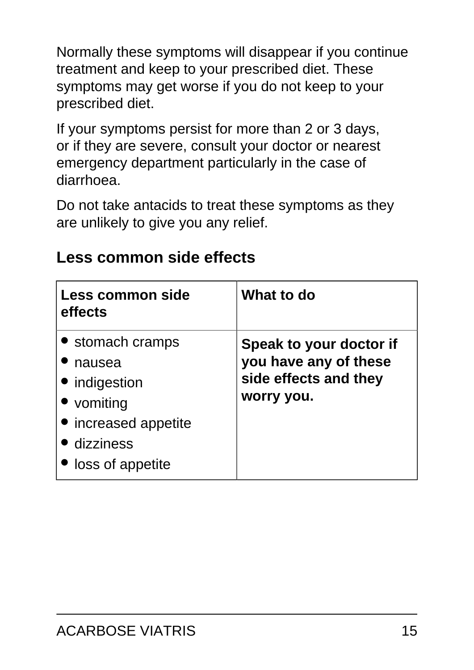Normally these symptoms will disappear if you continue treatment and keep to your prescribed diet. These symptoms may get worse if you do not keep to your prescribed diet.

If your symptoms persist for more than 2 or 3 days, or if they are severe, consult your doctor or nearest emergency department particularly in the case of diarrhoea.

Do not take antacids to treat these symptoms as they are unlikely to give you any relief.

| Less common side<br>effects                                                                                            | What to do                                                                              |
|------------------------------------------------------------------------------------------------------------------------|-----------------------------------------------------------------------------------------|
| • stomach cramps<br>nausea<br>• indigestion<br>• vomiting<br>• increased appetite<br>• dizziness<br>• loss of appetite | Speak to your doctor if<br>you have any of these<br>side effects and they<br>worry you. |

#### **Less common side effects**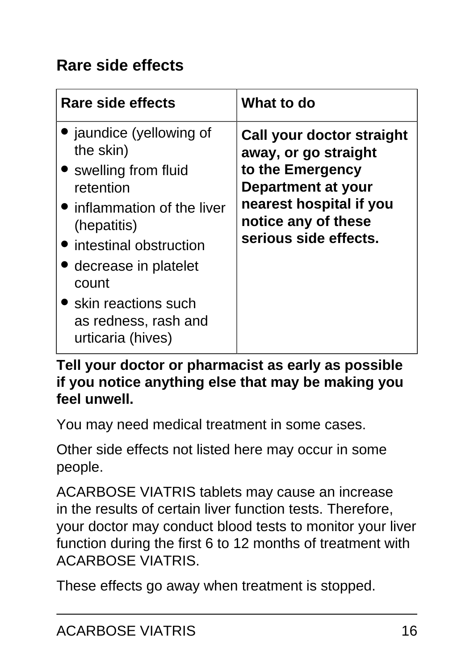## **Rare side effects**

| Rare side effects                                                                                                                                                                                                                                            | What to do                                                                                                                                                             |
|--------------------------------------------------------------------------------------------------------------------------------------------------------------------------------------------------------------------------------------------------------------|------------------------------------------------------------------------------------------------------------------------------------------------------------------------|
| • jaundice (yellowing of<br>the skin)<br>• swelling from fluid<br>retention<br>• inflammation of the liver<br>(hepatitis)<br>• intestinal obstruction<br>decrease in platelet<br>count<br>• skin reactions such<br>as redness, rash and<br>urticaria (hives) | Call your doctor straight<br>away, or go straight<br>to the Emergency<br>Department at your<br>nearest hospital if you<br>notice any of these<br>serious side effects. |

**Tell your doctor or pharmacist as early as possible if you notice anything else that may be making you feel unwell.**

You may need medical treatment in some cases.

Other side effects not listed here may occur in some people.

ACARBOSE VIATRIS tablets may cause an increase in the results of certain liver function tests. Therefore, your doctor may conduct blood tests to monitor your liver function during the first 6 to 12 months of treatment with ACARBOSE VIATRIS.

These effects go away when treatment is stopped.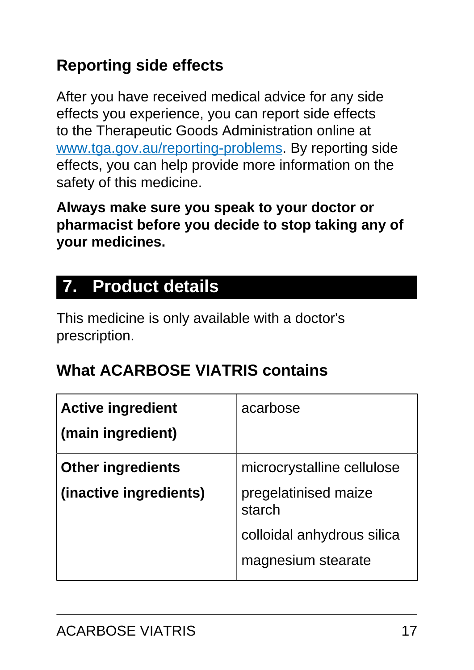## **Reporting side effects**

After you have received medical advice for any side effects you experience, you can report side effects to the Therapeutic Goods Administration online at [www.tga.gov.au/reporting-problems.](http://www.tga.gov.au/reporting-problems) By reporting side effects, you can help provide more information on the safety of this medicine.

**Always make sure you speak to your doctor or pharmacist before you decide to stop taking any of your medicines.**

## <span id="page-16-0"></span>**7. Product details**

This medicine is only available with a doctor's prescription.

### **What ACARBOSE VIATRIS contains**

| <b>Active ingredient</b> | acarbose                       |
|--------------------------|--------------------------------|
| (main ingredient)        |                                |
| <b>Other ingredients</b> | microcrystalline cellulose     |
| (inactive ingredients)   | pregelatinised maize<br>starch |
|                          | colloidal anhydrous silica     |
|                          | magnesium stearate             |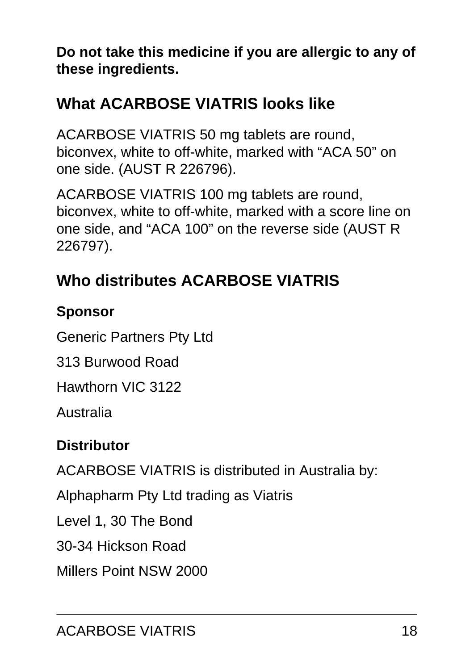**Do not take this medicine if you are allergic to any of these ingredients.**

## **What ACARBOSE VIATRIS looks like**

ACARBOSE VIATRIS 50 mg tablets are round, biconvex, white to off-white, marked with "ACA 50" on one side. (AUST R 226796).

ACARBOSE VIATRIS 100 mg tablets are round, biconvex, white to off-white, marked with a score line on one side, and "ACA 100" on the reverse side (AUST R 226797).

## **Who distributes ACARBOSE VIATRIS**

#### **Sponsor**

Generic Partners Pty Ltd

313 Burwood Road

Hawthorn VIC 3122

Australia

#### **Distributor**

ACARBOSE VIATRIS is distributed in Australia by:

Alphapharm Pty Ltd trading as Viatris

Level 1, 30 The Bond

30-34 Hickson Road

Millers Point NSW 2000